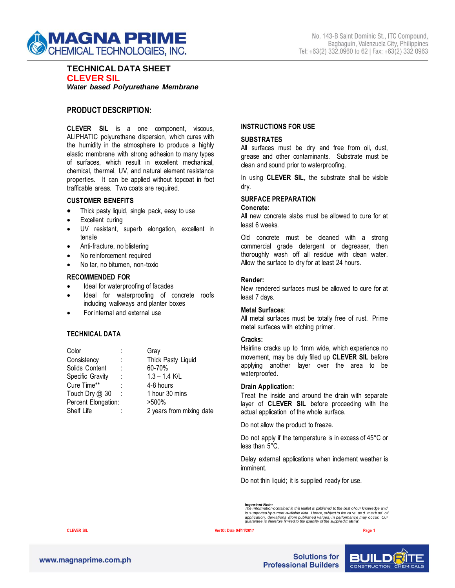

# **TECHNICAL DATA SHEET CLEVER SIL** *Water based Polyurethane Membrane*

# **PRODUCT DESCRIPTION:**

**CLEVER SIL** is a one component, viscous, ALIPHATIC polyurethane dispersion, which cures with the humidity in the atmosphere to produce a highly elastic membrane with strong adhesion to many types of surfaces, which result in excellent mechanical, chemical, thermal, UV, and natural element resistance properties. It can be applied without topcoat in foot trafficable areas. Two coats are required.

# **CUSTOMER BENEFITS**

- Thick pasty liquid, single pack, easy to use
- Excellent curing
- UV resistant, superb elongation, excellent in tensile
- Anti-fracture, no blistering
- No reinforcement required
- No tar, no bitumen, non-toxic

### **RECOMMENDED FOR**

- Ideal for waterproofing of facades
- Ideal for waterproofing of concrete roofs including walkways and planter boxes
- For internal and external use

# **TECHNICAL DATA**

| Color               |   | Gray                     |
|---------------------|---|--------------------------|
| Consistency         |   | Thick Pasty Liquid       |
| Solids Content      | t | 60-70%                   |
| Specific Gravity    |   | $1.3 - 1.4$ K/L          |
| Cure Time**         |   | 4-8 hours                |
| Touch Dry @ 30      |   | 1 hour 30 mins           |
| Percent Elongation: |   | >500%                    |
| Shelf Life          |   | 2 years from mixing date |
|                     |   |                          |

# **INSTRUCTIONS FOR USE**

### **SUBSTRATES**

All surfaces must be dry and free from oil, dust, grease and other contaminants. Substrate must be clean and sound prior to waterproofing.

In using **CLEVER SIL,** the substrate shall be visible dry.

# **SURFACE PREPARATION**

#### **Concrete:**

All new concrete slabs must be allowed to cure for at least 6 weeks.

Old concrete must be cleaned with a strong commercial grade detergent or degreaser, then thoroughly wash off all residue with clean water. Allow the surface to dry for at least 24 hours.

#### **Render:**

New rendered surfaces must be allowed to cure for at least 7 days.

# **Metal Surfaces**:

All metal surfaces must be totally free of rust. Prime metal surfaces with etching primer.

#### **Cracks:**

Hairline cracks up to 1mm wide, which experience no movement, may be duly filled up **CLEVER SIL** before applying another layer over the area to be waterproofed.

#### **Drain Application:**

Treat the inside and around the drain with separate layer of **CLEVER SIL** before proceeding with the actual application of the whole surface.

Do not allow the product to freeze.

Do not apply if the temperature is in excess of 45°C or less than 5°C.

Delay external applications when inclement weather is imminent.

Do not thin liquid; it is supplied ready for use.

*Important Note: The information contained in this leaflet is published to the best of our knowledge an d*  is supported by current available data. Hence, subject to the care and method of<br>application, deviations (from published values) in performance may occur. Our<br>guarantee is frerefore limited to the quantity of the supplied

CLEVER SIL

**CLEVER SIL Ver00: Date 04/11/2017 Page 1**



**Solutions for Professional Builders**